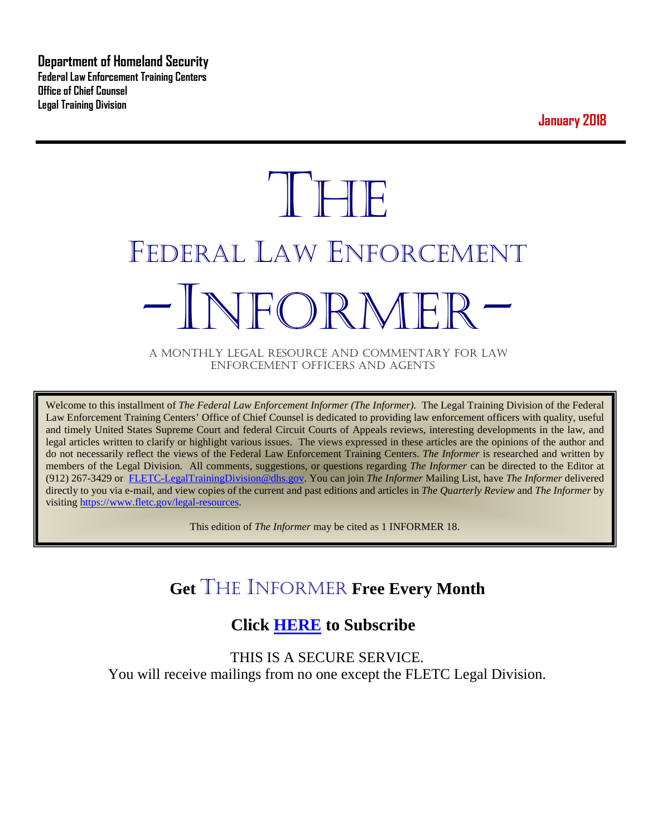**Department of Homeland Security Federal Law Enforcement Training Centers Office of Chief Counsel Legal Training Division** 

**January 2018**

# **THE** FEDERAL LAW ENFORCEMENT -INFORMER- A MONTHLY LEGAL RESOURCE AND COMMENTARY FOR LAW

ENFORCEMENT OFFICERS AND AGENTS

Welcome to this installment of *The Federal Law Enforcement Informer (The Informer).* The Legal Training Division of the Federal Law Enforcement Training Centers' Office of Chief Counsel is dedicated to providing law enforcement officers with quality, useful and timely United States Supreme Court and federal Circuit Courts of Appeals reviews, interesting developments in the law, and legal articles written to clarify or highlight various issues. The views expressed in these articles are the opinions of the author and do not necessarily reflect the views of the Federal Law Enforcement Training Centers. *The Informer* is researched and written by members of the Legal Division. All comments, suggestions, or questions regarding *The Informer* can be directed to the Editor at (912) 267-3429 or [FLETC-LegalTrainingDivision@dhs.gov.](mailto:FLETC-LegalTrainingDivision@dhs.gov) You can join *The Informer* Mailing List, have *The Informer* delivered directly to you via e-mail, and view copies of the current and past editions and articles in *The Quarterly Review* and *The Informer* by visiting [https://www.fletc.gov/legal-resources.](https://www.fletc.gov/legal-resources) 

This edition of *The Informer* may be cited as 1 INFORMER 18.

# **Get** THE INFORMER **Free Every Month**

# **Click [HERE](https://app.co-sender.com/opt-in/list/7b007eab-378b-4542-807f-44d6de94cb7e) to Subscribe**

THIS IS A SECURE SERVICE. You will receive mailings from no one except the FLETC Legal Division.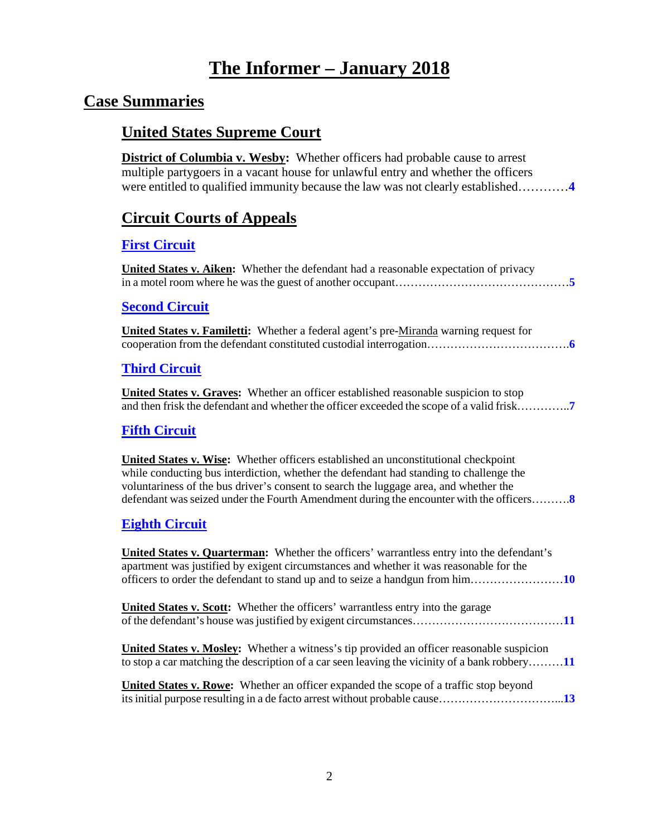# **The Informer – January 2018**

## **Case Summaries**

## **United States Supreme Court**

**District of Columbia v. Wesby:** Whether officers had probable cause to arrest multiple partygoers in a vacant house for unlawful entry and whether the officers were entitled to qualified immunity because the law was not clearly established…………**[4](#page-3-0)**

## **[Circuit Courts of Appeals](#page-3-1)**

#### **[First Circuit](#page-4-0)**

**United States v. Aiken:** Whether the defendant had a reasonable expectation of privacy in a motel room where he was the guest of another occupant………………………………………**[5](#page-4-1)**

#### **[Second Circuit](#page-5-0)**

**United States v. Familetti:** Whether a federal agent's pre-Miranda warning request for cooperation from the defendant constituted custodial interrogation……………………………….**[6](#page-5-1)**

#### **[Third Circuit](#page-6-0)**

**United States v. Graves:** Whether an officer established reasonable suspicion to stop and then frisk the defendant and whether the officer exceeded the scope of a valid frisk…………..**[7](#page-6-1)**

#### **[Fifth Circuit](#page-7-0)**

**United States v. Wise:** Whether officers established an unconstitutional checkpoint while conducting bus interdiction, whether the defendant had standing to challenge the voluntariness of the bus driver's consent to search the luggage area, and whether the defendant was seized under the Fourth Amendment during the encounter with the officers……….**[8](#page-7-1)**

#### **[Eighth Circuit](#page-9-0)**

| <b>United States v. Quarterman:</b> Whether the officers' warrantless entry into the defendant's<br>apartment was justified by exigent circumstances and whether it was reasonable for the        |
|---------------------------------------------------------------------------------------------------------------------------------------------------------------------------------------------------|
| <b>United States v. Scott:</b> Whether the officers' warrantless entry into the garage                                                                                                            |
| <b>United States v. Mosley:</b> Whether a witness's tip provided an officer reasonable suspicion<br>to stop a car matching the description of a car seen leaving the vicinity of a bank robbery11 |
| <b>United States v. Rowe:</b> Whether an officer expanded the scope of a traffic stop beyond                                                                                                      |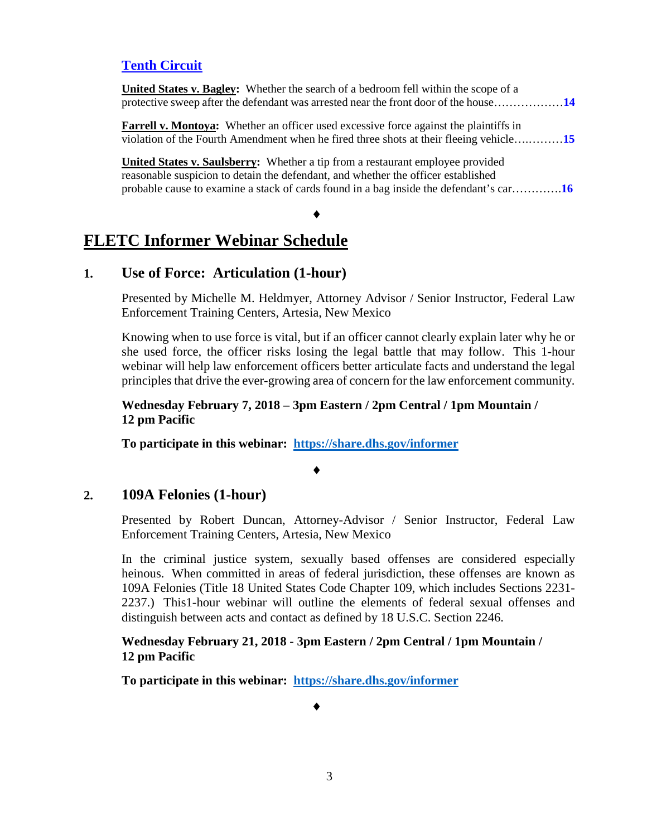#### **[Tenth Circuit](#page-13-0)**

| <b>United States v. Bagley:</b> Whether the search of a bedroom fell within the scope of a<br>protective sweep after the defendant was arrested near the front door of the house14     |  |
|----------------------------------------------------------------------------------------------------------------------------------------------------------------------------------------|--|
| <b>Farrell v. Montoya:</b> Whether an officer used excessive force against the plaintiffs in<br>violation of the Fourth Amendment when he fired three shots at their fleeing vehicle15 |  |
| <b>United States v. Saulsberry:</b> Whether a tip from a restaurant employee provided                                                                                                  |  |
| reasonable suspicion to detain the defendant, and whether the officer established                                                                                                      |  |
| probable cause to examine a stack of cards found in a bag inside the defendant's car16                                                                                                 |  |

#### ♦

# **FLETC Informer Webinar Schedule**

#### **1. Use of Force: Articulation (1-hour)**

Presented by Michelle M. Heldmyer, Attorney Advisor / Senior Instructor, Federal Law Enforcement Training Centers, Artesia, New Mexico

Knowing when to use force is vital, but if an officer cannot clearly explain later why he or she used force, the officer risks losing the legal battle that may follow. This 1-hour webinar will help law enforcement officers better articulate facts and understand the legal principles that drive the ever-growing area of concern for the law enforcement community.

#### **Wednesday February 7, 2018 – 3pm Eastern / 2pm Central / 1pm Mountain / 12 pm Pacific**

**To participate in this webinar: <https://share.dhs.gov/informer>**

#### ♦

#### **2. 109A Felonies (1-hour)**

Presented by Robert Duncan, Attorney-Advisor / Senior Instructor, Federal Law Enforcement Training Centers, Artesia, New Mexico

In the criminal justice system, sexually based offenses are considered especially heinous. When committed in areas of federal jurisdiction, these offenses are known as 109A Felonies (Title 18 United States Code Chapter 109, which includes Sections 2231- 2237.) This1-hour webinar will outline the elements of federal sexual offenses and distinguish between acts and contact as defined by 18 U.S.C. Section 2246.

#### **Wednesday February 21, 2018 - 3pm Eastern / 2pm Central / 1pm Mountain / 12 pm Pacific**

**To participate in this webinar: <https://share.dhs.gov/informer>**

♦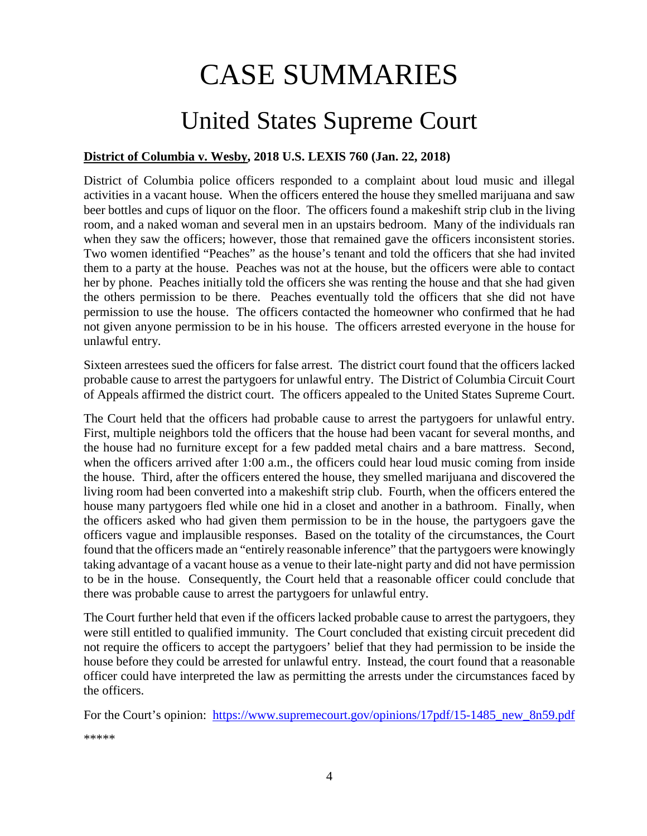# CASE SUMMARIES

# United States Supreme Court

#### <span id="page-3-1"></span><span id="page-3-0"></span>**District of Columbia v. Wesby, 2018 U.S. LEXIS 760 (Jan. 22, 2018)**

District of Columbia police officers responded to a complaint about loud music and illegal activities in a vacant house. When the officers entered the house they smelled marijuana and saw beer bottles and cups of liquor on the floor. The officers found a makeshift strip club in the living room, and a naked woman and several men in an upstairs bedroom. Many of the individuals ran when they saw the officers; however, those that remained gave the officers inconsistent stories. Two women identified "Peaches" as the house's tenant and told the officers that she had invited them to a party at the house. Peaches was not at the house, but the officers were able to contact her by phone. Peaches initially told the officers she was renting the house and that she had given the others permission to be there. Peaches eventually told the officers that she did not have permission to use the house. The officers contacted the homeowner who confirmed that he had not given anyone permission to be in his house. The officers arrested everyone in the house for unlawful entry.

Sixteen arrestees sued the officers for false arrest. The district court found that the officers lacked probable cause to arrest the partygoers for unlawful entry. The District of Columbia Circuit Court of Appeals affirmed the district court. The officers appealed to the United States Supreme Court.

The Court held that the officers had probable cause to arrest the partygoers for unlawful entry. First, multiple neighbors told the officers that the house had been vacant for several months, and the house had no furniture except for a few padded metal chairs and a bare mattress. Second, when the officers arrived after 1:00 a.m., the officers could hear loud music coming from inside the house. Third, after the officers entered the house, they smelled marijuana and discovered the living room had been converted into a makeshift strip club. Fourth, when the officers entered the house many partygoers fled while one hid in a closet and another in a bathroom. Finally, when the officers asked who had given them permission to be in the house, the partygoers gave the officers vague and implausible responses. Based on the totality of the circumstances, the Court found that the officers made an "entirely reasonable inference" that the partygoers were knowingly taking advantage of a vacant house as a venue to their late-night party and did not have permission to be in the house. Consequently, the Court held that a reasonable officer could conclude that there was probable cause to arrest the partygoers for unlawful entry.

The Court further held that even if the officers lacked probable cause to arrest the partygoers, they were still entitled to qualified immunity. The Court concluded that existing circuit precedent did not require the officers to accept the partygoers' belief that they had permission to be inside the house before they could be arrested for unlawful entry. Instead, the court found that a reasonable officer could have interpreted the law as permitting the arrests under the circumstances faced by the officers.

For the Court's opinion: https://www.supremecourt.gov/opinions/17pdf/15-1485 new 8n59.pdf

\*\*\*\*\*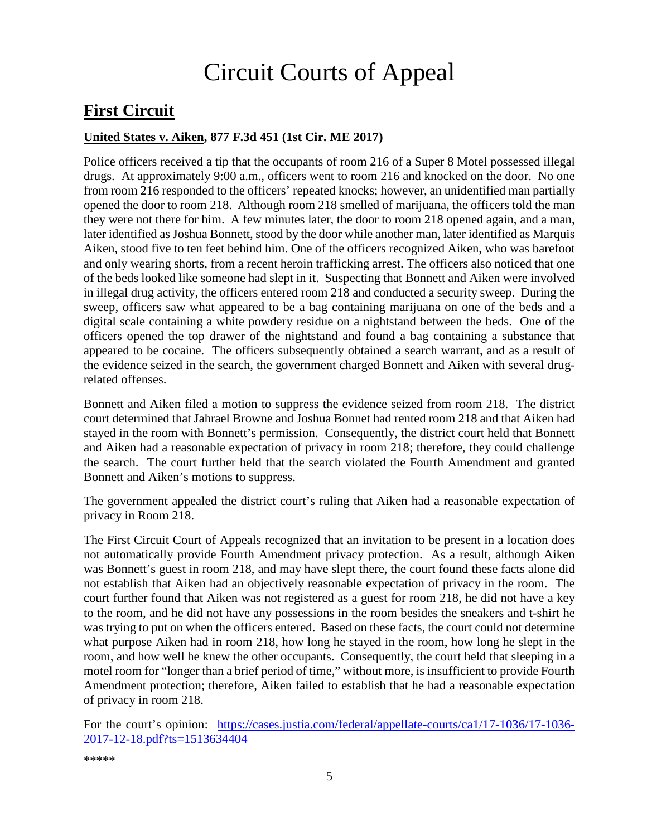# Circuit Courts of Appeal

# <span id="page-4-0"></span>**First Circuit**

#### <span id="page-4-1"></span>**United States v. Aiken, 877 F.3d 451 (1st Cir. ME 2017)**

Police officers received a tip that the occupants of room 216 of a Super 8 Motel possessed illegal drugs. At approximately 9:00 a.m., officers went to room 216 and knocked on the door. No one from room 216 responded to the officers' repeated knocks; however, an unidentified man partially opened the door to room 218. Although room 218 smelled of marijuana, the officers told the man they were not there for him. A few minutes later, the door to room 218 opened again, and a man, later identified as Joshua Bonnett, stood by the door while another man, later identified as Marquis Aiken, stood five to ten feet behind him. One of the officers recognized Aiken, who was barefoot and only wearing shorts, from a recent heroin trafficking arrest. The officers also noticed that one of the beds looked like someone had slept in it. Suspecting that Bonnett and Aiken were involved in illegal drug activity, the officers entered room 218 and conducted a security sweep. During the sweep, officers saw what appeared to be a bag containing marijuana on one of the beds and a digital scale containing a white powdery residue on a nightstand between the beds. One of the officers opened the top drawer of the nightstand and found a bag containing a substance that appeared to be cocaine. The officers subsequently obtained a search warrant, and as a result of the evidence seized in the search, the government charged Bonnett and Aiken with several drugrelated offenses.

Bonnett and Aiken filed a motion to suppress the evidence seized from room 218. The district court determined that Jahrael Browne and Joshua Bonnet had rented room 218 and that Aiken had stayed in the room with Bonnett's permission. Consequently, the district court held that Bonnett and Aiken had a reasonable expectation of privacy in room 218; therefore, they could challenge the search. The court further held that the search violated the Fourth Amendment and granted Bonnett and Aiken's motions to suppress.

The government appealed the district court's ruling that Aiken had a reasonable expectation of privacy in Room 218.

The First Circuit Court of Appeals recognized that an invitation to be present in a location does not automatically provide Fourth Amendment privacy protection. As a result, although Aiken was Bonnett's guest in room 218, and may have slept there, the court found these facts alone did not establish that Aiken had an objectively reasonable expectation of privacy in the room. The court further found that Aiken was not registered as a guest for room 218, he did not have a key to the room, and he did not have any possessions in the room besides the sneakers and t-shirt he was trying to put on when the officers entered. Based on these facts, the court could not determine what purpose Aiken had in room 218, how long he stayed in the room, how long he slept in the room, and how well he knew the other occupants. Consequently, the court held that sleeping in a motel room for "longer than a brief period of time," without more, is insufficient to provide Fourth Amendment protection; therefore, Aiken failed to establish that he had a reasonable expectation of privacy in room 218.

For the court's opinion: [https://cases.justia.com/federal/appellate-courts/ca1/17-1036/17-1036-](https://cases.justia.com/federal/appellate-courts/ca1/17-1036/17-1036-2017-12-18.pdf?ts=1513634404) [2017-12-18.pdf?ts=1513634404](https://cases.justia.com/federal/appellate-courts/ca1/17-1036/17-1036-2017-12-18.pdf?ts=1513634404)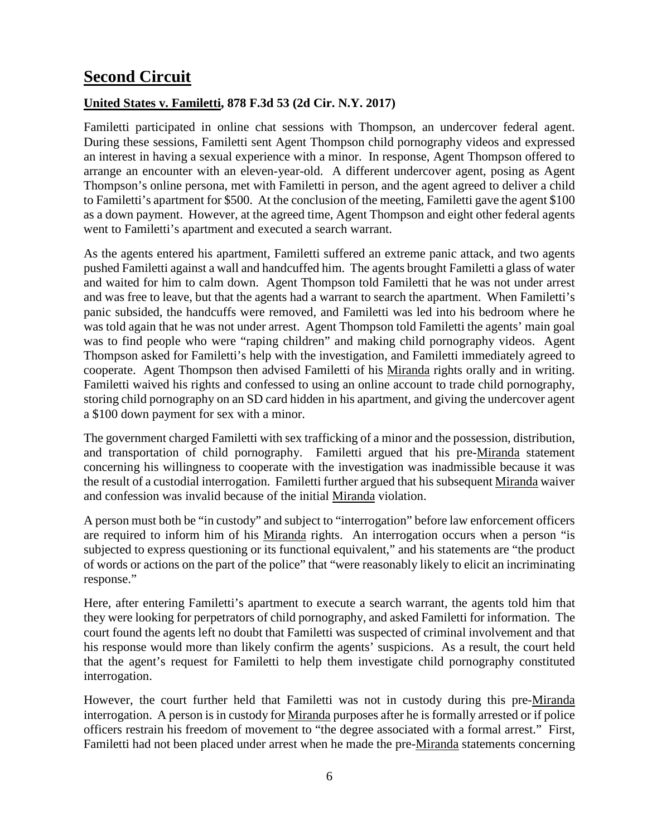# <span id="page-5-0"></span>**Second Circuit**

#### <span id="page-5-1"></span>**United States v. Familetti, 878 F.3d 53 (2d Cir. N.Y. 2017)**

Familetti participated in online chat sessions with Thompson, an undercover federal agent. During these sessions, Familetti sent Agent Thompson child pornography videos and expressed an interest in having a sexual experience with a minor. In response, Agent Thompson offered to arrange an encounter with an eleven-year-old. A different undercover agent, posing as Agent Thompson's online persona, met with Familetti in person, and the agent agreed to deliver a child to Familetti's apartment for \$500. At the conclusion of the meeting, Familetti gave the agent \$100 as a down payment. However, at the agreed time, Agent Thompson and eight other federal agents went to Familetti's apartment and executed a search warrant.

As the agents entered his apartment, Familetti suffered an extreme panic attack, and two agents pushed Familetti against a wall and handcuffed him. The agents brought Familetti a glass of water and waited for him to calm down. Agent Thompson told Familetti that he was not under arrest and was free to leave, but that the agents had a warrant to search the apartment. When Familetti's panic subsided, the handcuffs were removed, and Familetti was led into his bedroom where he was told again that he was not under arrest. Agent Thompson told Familetti the agents' main goal was to find people who were "raping children" and making child pornography videos. Agent Thompson asked for Familetti's help with the investigation, and Familetti immediately agreed to cooperate. Agent Thompson then advised Familetti of his Miranda rights orally and in writing. Familetti waived his rights and confessed to using an online account to trade child pornography, storing child pornography on an SD card hidden in his apartment, and giving the undercover agent a \$100 down payment for sex with a minor.

The government charged Familetti with sex trafficking of a minor and the possession, distribution, and transportation of child pornography. Familetti argued that his pre-Miranda statement concerning his willingness to cooperate with the investigation was inadmissible because it was the result of a custodial interrogation. Familetti further argued that his subsequent Miranda waiver and confession was invalid because of the initial Miranda violation.

A person must both be "in custody" and subject to "interrogation" before law enforcement officers are required to inform him of his Miranda rights. An interrogation occurs when a person "is subjected to express questioning or its functional equivalent," and his statements are "the product of words or actions on the part of the police" that "were reasonably likely to elicit an incriminating response."

Here, after entering Familetti's apartment to execute a search warrant, the agents told him that they were looking for perpetrators of child pornography, and asked Familetti for information. The court found the agents left no doubt that Familetti was suspected of criminal involvement and that his response would more than likely confirm the agents' suspicions. As a result, the court held that the agent's request for Familetti to help them investigate child pornography constituted interrogation.

However, the court further held that Familetti was not in custody during this pre-Miranda interrogation. A person is in custody for Miranda purposes after he is formally arrested or if police officers restrain his freedom of movement to "the degree associated with a formal arrest." First, Familetti had not been placed under arrest when he made the pre-Miranda statements concerning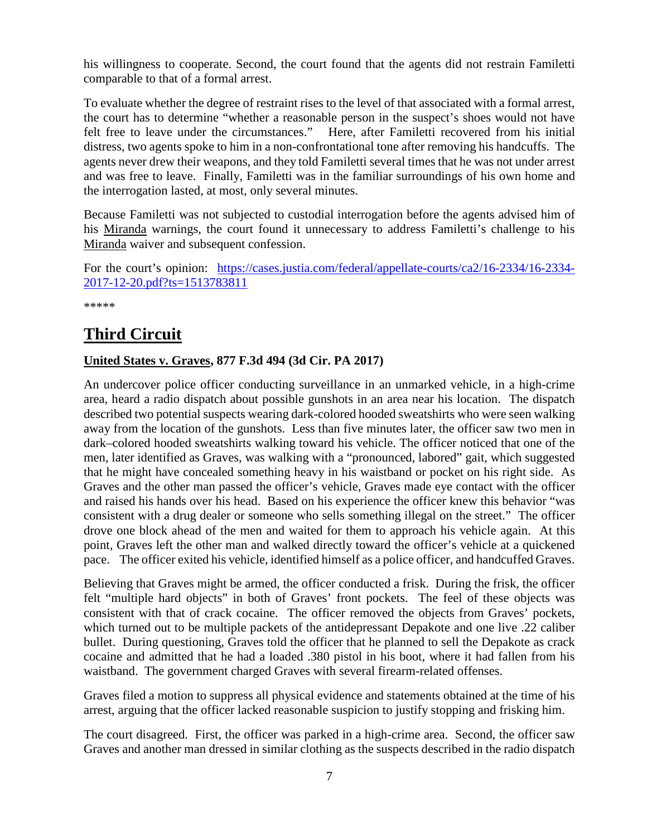his willingness to cooperate. Second, the court found that the agents did not restrain Familetti comparable to that of a formal arrest.

To evaluate whether the degree of restraint rises to the level of that associated with a formal arrest, the court has to determine "whether a reasonable person in the suspect's shoes would not have felt free to leave under the circumstances." Here, after Familetti recovered from his initial distress, two agents spoke to him in a non-confrontational tone after removing his handcuffs. The agents never drew their weapons, and they told Familetti several times that he was not under arrest and was free to leave. Finally, Familetti was in the familiar surroundings of his own home and the interrogation lasted, at most, only several minutes.

Because Familetti was not subjected to custodial interrogation before the agents advised him of his Miranda warnings, the court found it unnecessary to address Familetti's challenge to his Miranda waiver and subsequent confession.

For the court's opinion: [https://cases.justia.com/federal/appellate-courts/ca2/16-2334/16-2334-](https://cases.justia.com/federal/appellate-courts/ca2/16-2334/16-2334-2017-12-20.pdf?ts=1513783811) [2017-12-20.pdf?ts=1513783811](https://cases.justia.com/federal/appellate-courts/ca2/16-2334/16-2334-2017-12-20.pdf?ts=1513783811)

\*\*\*\*\*

# <span id="page-6-0"></span>**Third Circuit**

#### <span id="page-6-1"></span>**United States v. Graves, 877 F.3d 494 (3d Cir. PA 2017)**

An undercover police officer conducting surveillance in an unmarked vehicle, in a high-crime area, heard a radio dispatch about possible gunshots in an area near his location. The dispatch described two potential suspects wearing dark-colored hooded sweatshirts who were seen walking away from the location of the gunshots. Less than five minutes later, the officer saw two men in dark–colored hooded sweatshirts walking toward his vehicle. The officer noticed that one of the men, later identified as Graves, was walking with a "pronounced, labored" gait, which suggested that he might have concealed something heavy in his waistband or pocket on his right side. As Graves and the other man passed the officer's vehicle, Graves made eye contact with the officer and raised his hands over his head. Based on his experience the officer knew this behavior "was consistent with a drug dealer or someone who sells something illegal on the street." The officer drove one block ahead of the men and waited for them to approach his vehicle again. At this point, Graves left the other man and walked directly toward the officer's vehicle at a quickened pace. The officer exited his vehicle, identified himself as a police officer, and handcuffed Graves.

Believing that Graves might be armed, the officer conducted a frisk. During the frisk, the officer felt "multiple hard objects" in both of Graves' front pockets. The feel of these objects was consistent with that of crack cocaine. The officer removed the objects from Graves' pockets, which turned out to be multiple packets of the antidepressant Depakote and one live .22 caliber bullet. During questioning, Graves told the officer that he planned to sell the Depakote as crack cocaine and admitted that he had a loaded .380 pistol in his boot, where it had fallen from his waistband. The government charged Graves with several firearm-related offenses.

Graves filed a motion to suppress all physical evidence and statements obtained at the time of his arrest, arguing that the officer lacked reasonable suspicion to justify stopping and frisking him.

The court disagreed. First, the officer was parked in a high-crime area. Second, the officer saw Graves and another man dressed in similar clothing as the suspects described in the radio dispatch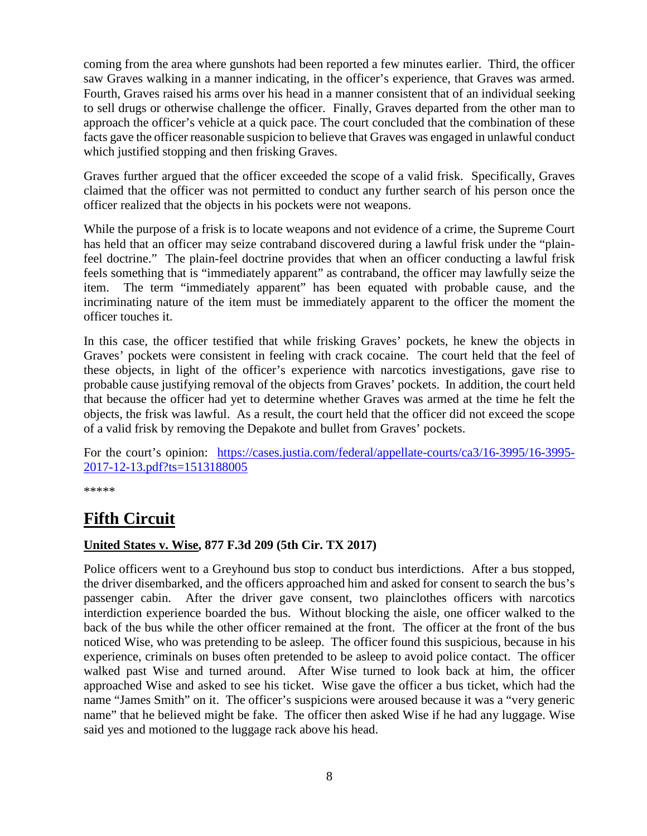coming from the area where gunshots had been reported a few minutes earlier. Third, the officer saw Graves walking in a manner indicating, in the officer's experience, that Graves was armed. Fourth, Graves raised his arms over his head in a manner consistent that of an individual seeking to sell drugs or otherwise challenge the officer. Finally, Graves departed from the other man to approach the officer's vehicle at a quick pace. The court concluded that the combination of these facts gave the officer reasonable suspicion to believe that Graves was engaged in unlawful conduct which justified stopping and then frisking Graves.

Graves further argued that the officer exceeded the scope of a valid frisk. Specifically, Graves claimed that the officer was not permitted to conduct any further search of his person once the officer realized that the objects in his pockets were not weapons.

While the purpose of a frisk is to locate weapons and not evidence of a crime, the Supreme Court has held that an officer may seize contraband discovered during a lawful frisk under the "plainfeel doctrine." The plain-feel doctrine provides that when an officer conducting a lawful frisk feels something that is "immediately apparent" as contraband, the officer may lawfully seize the item. The term "immediately apparent" has been equated with probable cause, and the incriminating nature of the item must be immediately apparent to the officer the moment the officer touches it.

In this case, the officer testified that while frisking Graves' pockets, he knew the objects in Graves' pockets were consistent in feeling with crack cocaine. The court held that the feel of these objects, in light of the officer's experience with narcotics investigations, gave rise to probable cause justifying removal of the objects from Graves' pockets. In addition, the court held that because the officer had yet to determine whether Graves was armed at the time he felt the objects, the frisk was lawful. As a result, the court held that the officer did not exceed the scope of a valid frisk by removing the Depakote and bullet from Graves' pockets.

For the court's opinion: [https://cases.justia.com/federal/appellate-courts/ca3/16-3995/16-3995-](https://cases.justia.com/federal/appellate-courts/ca3/16-3995/16-3995-2017-12-13.pdf?ts=1513188005) [2017-12-13.pdf?ts=1513188005](https://cases.justia.com/federal/appellate-courts/ca3/16-3995/16-3995-2017-12-13.pdf?ts=1513188005)

\*\*\*\*\*

# <span id="page-7-0"></span>**Fifth Circuit**

#### <span id="page-7-1"></span>**United States v. Wise, 877 F.3d 209 (5th Cir. TX 2017)**

Police officers went to a Greyhound bus stop to conduct bus interdictions. After a bus stopped, the driver disembarked, and the officers approached him and asked for consent to search the bus's passenger cabin. After the driver gave consent, two plainclothes officers with narcotics interdiction experience boarded the bus. Without blocking the aisle, one officer walked to the back of the bus while the other officer remained at the front. The officer at the front of the bus noticed Wise, who was pretending to be asleep. The officer found this suspicious, because in his experience, criminals on buses often pretended to be asleep to avoid police contact. The officer walked past Wise and turned around. After Wise turned to look back at him, the officer approached Wise and asked to see his ticket. Wise gave the officer a bus ticket, which had the name "James Smith" on it. The officer's suspicions were aroused because it was a "very generic name" that he believed might be fake. The officer then asked Wise if he had any luggage. Wise said yes and motioned to the luggage rack above his head.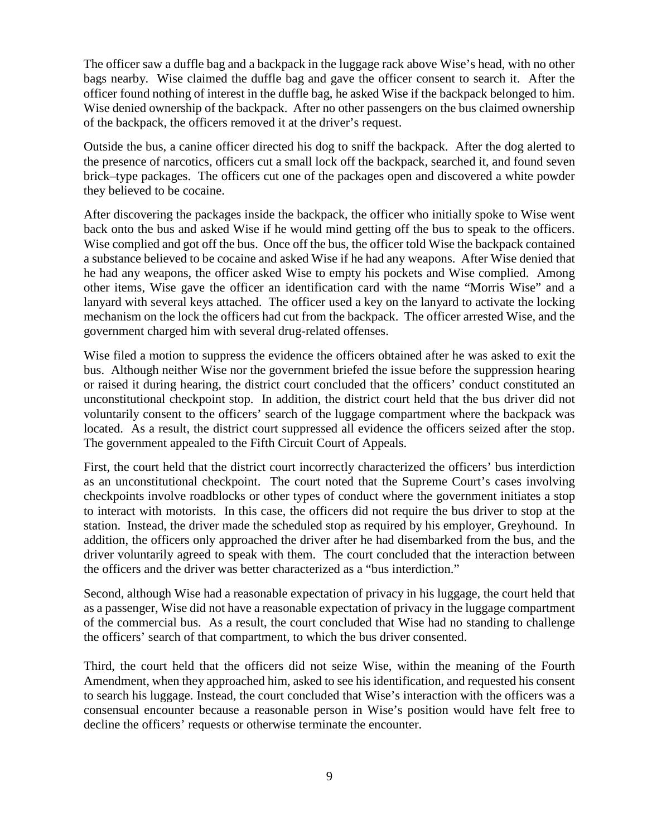The officer saw a duffle bag and a backpack in the luggage rack above Wise's head, with no other bags nearby. Wise claimed the duffle bag and gave the officer consent to search it. After the officer found nothing of interest in the duffle bag, he asked Wise if the backpack belonged to him. Wise denied ownership of the backpack. After no other passengers on the bus claimed ownership of the backpack, the officers removed it at the driver's request.

Outside the bus, a canine officer directed his dog to sniff the backpack. After the dog alerted to the presence of narcotics, officers cut a small lock off the backpack, searched it, and found seven brick–type packages. The officers cut one of the packages open and discovered a white powder they believed to be cocaine.

After discovering the packages inside the backpack, the officer who initially spoke to Wise went back onto the bus and asked Wise if he would mind getting off the bus to speak to the officers. Wise complied and got off the bus. Once off the bus, the officer told Wise the backpack contained a substance believed to be cocaine and asked Wise if he had any weapons. After Wise denied that he had any weapons, the officer asked Wise to empty his pockets and Wise complied. Among other items, Wise gave the officer an identification card with the name "Morris Wise" and a lanyard with several keys attached. The officer used a key on the lanyard to activate the locking mechanism on the lock the officers had cut from the backpack. The officer arrested Wise, and the government charged him with several drug-related offenses.

Wise filed a motion to suppress the evidence the officers obtained after he was asked to exit the bus. Although neither Wise nor the government briefed the issue before the suppression hearing or raised it during hearing, the district court concluded that the officers' conduct constituted an unconstitutional checkpoint stop. In addition, the district court held that the bus driver did not voluntarily consent to the officers' search of the luggage compartment where the backpack was located. As a result, the district court suppressed all evidence the officers seized after the stop. The government appealed to the Fifth Circuit Court of Appeals.

First, the court held that the district court incorrectly characterized the officers' bus interdiction as an unconstitutional checkpoint. The court noted that the Supreme Court's cases involving checkpoints involve roadblocks or other types of conduct where the government initiates a stop to interact with motorists. In this case, the officers did not require the bus driver to stop at the station. Instead, the driver made the scheduled stop as required by his employer, Greyhound. In addition, the officers only approached the driver after he had disembarked from the bus, and the driver voluntarily agreed to speak with them. The court concluded that the interaction between the officers and the driver was better characterized as a "bus interdiction."

Second, although Wise had a reasonable expectation of privacy in his luggage, the court held that as a passenger, Wise did not have a reasonable expectation of privacy in the luggage compartment of the commercial bus. As a result, the court concluded that Wise had no standing to challenge the officers' search of that compartment, to which the bus driver consented.

Third, the court held that the officers did not seize Wise, within the meaning of the Fourth Amendment, when they approached him, asked to see his identification, and requested his consent to search his luggage. Instead, the court concluded that Wise's interaction with the officers was a consensual encounter because a reasonable person in Wise's position would have felt free to decline the officers' requests or otherwise terminate the encounter.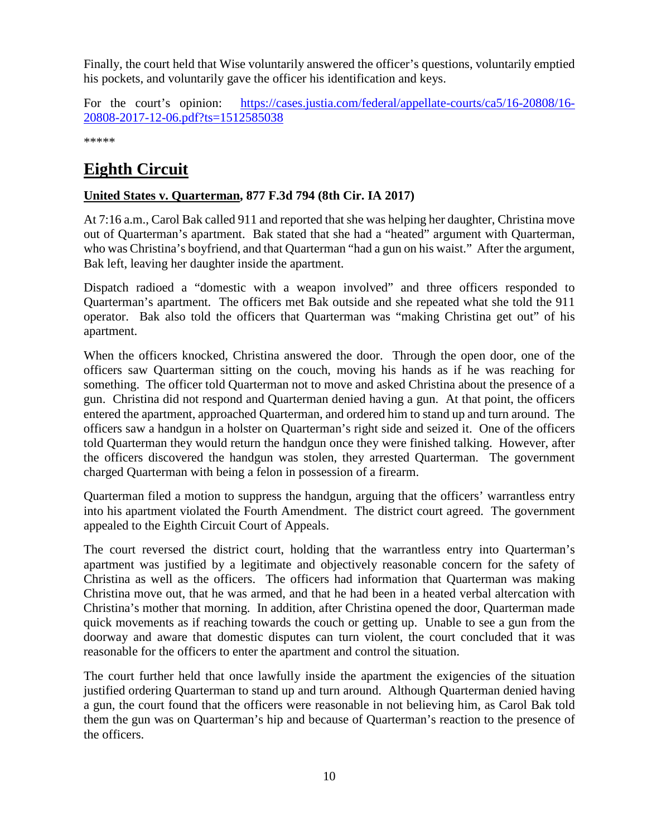Finally, the court held that Wise voluntarily answered the officer's questions, voluntarily emptied his pockets, and voluntarily gave the officer his identification and keys.

For the court's opinion: [https://cases.justia.com/federal/appellate-courts/ca5/16-20808/16-](https://cases.justia.com/federal/appellate-courts/ca5/16-20808/16-20808-2017-12-06.pdf?ts=1512585038) [20808-2017-12-06.pdf?ts=1512585038](https://cases.justia.com/federal/appellate-courts/ca5/16-20808/16-20808-2017-12-06.pdf?ts=1512585038)

\*\*\*\*\*

# <span id="page-9-0"></span>**Eighth Circuit**

#### <span id="page-9-1"></span>**United States v. Quarterman, 877 F.3d 794 (8th Cir. IA 2017)**

At 7:16 a.m., Carol Bak called 911 and reported that she was helping her daughter, Christina move out of Quarterman's apartment. Bak stated that she had a "heated" argument with Quarterman, who was Christina's boyfriend, and that Quarterman "had a gun on his waist." After the argument, Bak left, leaving her daughter inside the apartment.

Dispatch radioed a "domestic with a weapon involved" and three officers responded to Quarterman's apartment. The officers met Bak outside and she repeated what she told the 911 operator. Bak also told the officers that Quarterman was "making Christina get out" of his apartment.

When the officers knocked, Christina answered the door. Through the open door, one of the officers saw Quarterman sitting on the couch, moving his hands as if he was reaching for something. The officer told Quarterman not to move and asked Christina about the presence of a gun. Christina did not respond and Quarterman denied having a gun. At that point, the officers entered the apartment, approached Quarterman, and ordered him to stand up and turn around. The officers saw a handgun in a holster on Quarterman's right side and seized it. One of the officers told Quarterman they would return the handgun once they were finished talking. However, after the officers discovered the handgun was stolen, they arrested Quarterman. The government charged Quarterman with being a felon in possession of a firearm.

Quarterman filed a motion to suppress the handgun, arguing that the officers' warrantless entry into his apartment violated the Fourth Amendment. The district court agreed. The government appealed to the Eighth Circuit Court of Appeals.

The court reversed the district court, holding that the warrantless entry into Quarterman's apartment was justified by a legitimate and objectively reasonable concern for the safety of Christina as well as the officers. The officers had information that Quarterman was making Christina move out, that he was armed, and that he had been in a heated verbal altercation with Christina's mother that morning. In addition, after Christina opened the door, Quarterman made quick movements as if reaching towards the couch or getting up. Unable to see a gun from the doorway and aware that domestic disputes can turn violent, the court concluded that it was reasonable for the officers to enter the apartment and control the situation.

The court further held that once lawfully inside the apartment the exigencies of the situation justified ordering Quarterman to stand up and turn around. Although Quarterman denied having a gun, the court found that the officers were reasonable in not believing him, as Carol Bak told them the gun was on Quarterman's hip and because of Quarterman's reaction to the presence of the officers.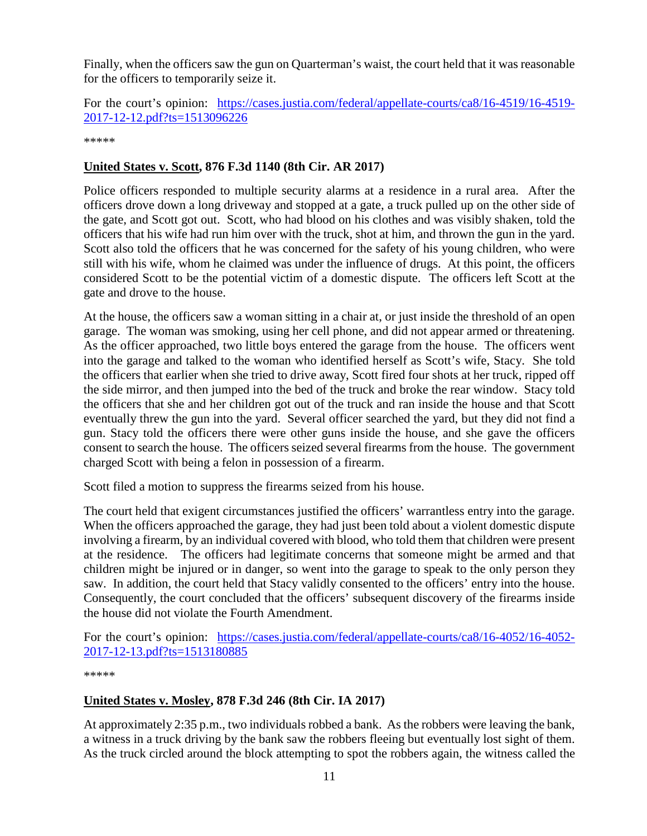Finally, when the officers saw the gun on Quarterman's waist, the court held that it was reasonable for the officers to temporarily seize it.

For the court's opinion: [https://cases.justia.com/federal/appellate-courts/ca8/16-4519/16-4519-](https://cases.justia.com/federal/appellate-courts/ca8/16-4519/16-4519-2017-12-12.pdf?ts=1513096226) [2017-12-12.pdf?ts=1513096226](https://cases.justia.com/federal/appellate-courts/ca8/16-4519/16-4519-2017-12-12.pdf?ts=1513096226)

\*\*\*\*\*

#### <span id="page-10-0"></span>**United States v. Scott, 876 F.3d 1140 (8th Cir. AR 2017)**

Police officers responded to multiple security alarms at a residence in a rural area. After the officers drove down a long driveway and stopped at a gate, a truck pulled up on the other side of the gate, and Scott got out. Scott, who had blood on his clothes and was visibly shaken, told the officers that his wife had run him over with the truck, shot at him, and thrown the gun in the yard. Scott also told the officers that he was concerned for the safety of his young children, who were still with his wife, whom he claimed was under the influence of drugs. At this point, the officers considered Scott to be the potential victim of a domestic dispute. The officers left Scott at the gate and drove to the house.

At the house, the officers saw a woman sitting in a chair at, or just inside the threshold of an open garage. The woman was smoking, using her cell phone, and did not appear armed or threatening. As the officer approached, two little boys entered the garage from the house. The officers went into the garage and talked to the woman who identified herself as Scott's wife, Stacy. She told the officers that earlier when she tried to drive away, Scott fired four shots at her truck, ripped off the side mirror, and then jumped into the bed of the truck and broke the rear window. Stacy told the officers that she and her children got out of the truck and ran inside the house and that Scott eventually threw the gun into the yard. Several officer searched the yard, but they did not find a gun. Stacy told the officers there were other guns inside the house, and she gave the officers consent to search the house. The officers seized several firearms from the house. The government charged Scott with being a felon in possession of a firearm.

Scott filed a motion to suppress the firearms seized from his house.

The court held that exigent circumstances justified the officers' warrantless entry into the garage. When the officers approached the garage, they had just been told about a violent domestic dispute involving a firearm, by an individual covered with blood, who told them that children were present at the residence. The officers had legitimate concerns that someone might be armed and that children might be injured or in danger, so went into the garage to speak to the only person they saw. In addition, the court held that Stacy validly consented to the officers' entry into the house. Consequently, the court concluded that the officers' subsequent discovery of the firearms inside the house did not violate the Fourth Amendment.

For the court's opinion: [https://cases.justia.com/federal/appellate-courts/ca8/16-4052/16-4052-](https://cases.justia.com/federal/appellate-courts/ca8/16-4052/16-4052-2017-12-13.pdf?ts=1513180885) [2017-12-13.pdf?ts=1513180885](https://cases.justia.com/federal/appellate-courts/ca8/16-4052/16-4052-2017-12-13.pdf?ts=1513180885)

\*\*\*\*\*

#### <span id="page-10-1"></span>**United States v. Mosley, 878 F.3d 246 (8th Cir. IA 2017)**

At approximately 2:35 p.m., two individuals robbed a bank. As the robbers were leaving the bank, a witness in a truck driving by the bank saw the robbers fleeing but eventually lost sight of them. As the truck circled around the block attempting to spot the robbers again, the witness called the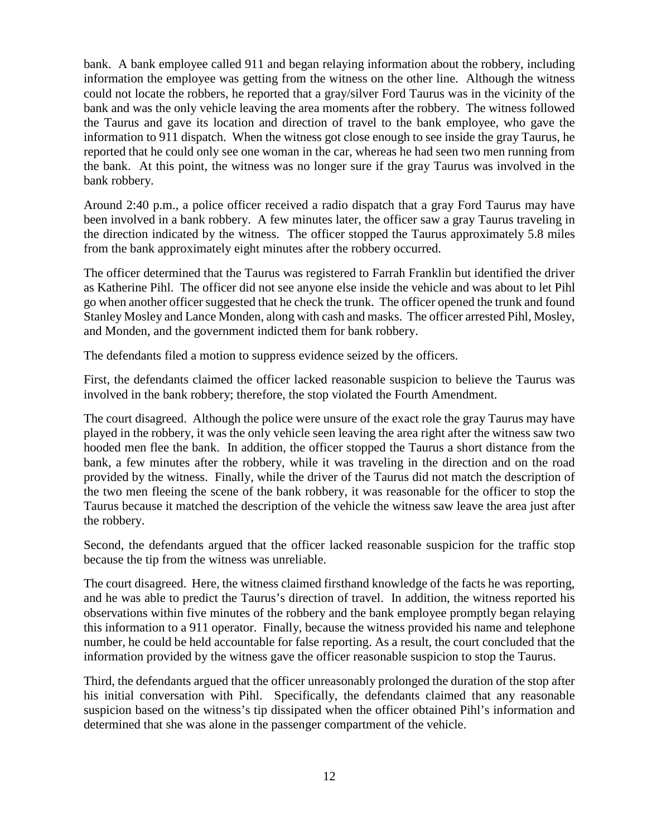bank. A bank employee called 911 and began relaying information about the robbery, including information the employee was getting from the witness on the other line. Although the witness could not locate the robbers, he reported that a gray/silver Ford Taurus was in the vicinity of the bank and was the only vehicle leaving the area moments after the robbery. The witness followed the Taurus and gave its location and direction of travel to the bank employee, who gave the information to 911 dispatch. When the witness got close enough to see inside the gray Taurus, he reported that he could only see one woman in the car, whereas he had seen two men running from the bank. At this point, the witness was no longer sure if the gray Taurus was involved in the bank robbery.

Around 2:40 p.m., a police officer received a radio dispatch that a gray Ford Taurus may have been involved in a bank robbery. A few minutes later, the officer saw a gray Taurus traveling in the direction indicated by the witness. The officer stopped the Taurus approximately 5.8 miles from the bank approximately eight minutes after the robbery occurred.

The officer determined that the Taurus was registered to Farrah Franklin but identified the driver as Katherine Pihl. The officer did not see anyone else inside the vehicle and was about to let Pihl go when another officer suggested that he check the trunk. The officer opened the trunk and found Stanley Mosley and Lance Monden, along with cash and masks. The officer arrested Pihl, Mosley, and Monden, and the government indicted them for bank robbery.

The defendants filed a motion to suppress evidence seized by the officers.

First, the defendants claimed the officer lacked reasonable suspicion to believe the Taurus was involved in the bank robbery; therefore, the stop violated the Fourth Amendment.

The court disagreed. Although the police were unsure of the exact role the gray Taurus may have played in the robbery, it was the only vehicle seen leaving the area right after the witness saw two hooded men flee the bank. In addition, the officer stopped the Taurus a short distance from the bank, a few minutes after the robbery, while it was traveling in the direction and on the road provided by the witness. Finally, while the driver of the Taurus did not match the description of the two men fleeing the scene of the bank robbery, it was reasonable for the officer to stop the Taurus because it matched the description of the vehicle the witness saw leave the area just after the robbery.

Second, the defendants argued that the officer lacked reasonable suspicion for the traffic stop because the tip from the witness was unreliable.

The court disagreed. Here, the witness claimed firsthand knowledge of the facts he was reporting, and he was able to predict the Taurus's direction of travel. In addition, the witness reported his observations within five minutes of the robbery and the bank employee promptly began relaying this information to a 911 operator. Finally, because the witness provided his name and telephone number, he could be held accountable for false reporting. As a result, the court concluded that the information provided by the witness gave the officer reasonable suspicion to stop the Taurus.

Third, the defendants argued that the officer unreasonably prolonged the duration of the stop after his initial conversation with Pihl. Specifically, the defendants claimed that any reasonable suspicion based on the witness's tip dissipated when the officer obtained Pihl's information and determined that she was alone in the passenger compartment of the vehicle.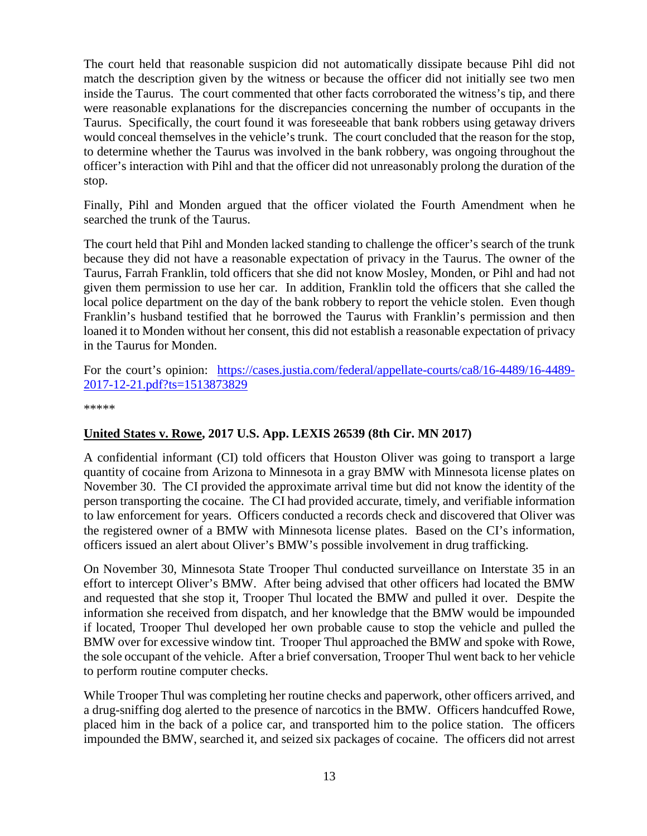The court held that reasonable suspicion did not automatically dissipate because Pihl did not match the description given by the witness or because the officer did not initially see two men inside the Taurus. The court commented that other facts corroborated the witness's tip, and there were reasonable explanations for the discrepancies concerning the number of occupants in the Taurus. Specifically, the court found it was foreseeable that bank robbers using getaway drivers would conceal themselves in the vehicle's trunk. The court concluded that the reason for the stop, to determine whether the Taurus was involved in the bank robbery, was ongoing throughout the officer's interaction with Pihl and that the officer did not unreasonably prolong the duration of the stop.

Finally, Pihl and Monden argued that the officer violated the Fourth Amendment when he searched the trunk of the Taurus.

The court held that Pihl and Monden lacked standing to challenge the officer's search of the trunk because they did not have a reasonable expectation of privacy in the Taurus. The owner of the Taurus, Farrah Franklin, told officers that she did not know Mosley, Monden, or Pihl and had not given them permission to use her car. In addition, Franklin told the officers that she called the local police department on the day of the bank robbery to report the vehicle stolen. Even though Franklin's husband testified that he borrowed the Taurus with Franklin's permission and then loaned it to Monden without her consent, this did not establish a reasonable expectation of privacy in the Taurus for Monden.

For the court's opinion: [https://cases.justia.com/federal/appellate-courts/ca8/16-4489/16-4489-](https://cases.justia.com/federal/appellate-courts/ca8/16-4489/16-4489-2017-12-21.pdf?ts=1513873829) [2017-12-21.pdf?ts=1513873829](https://cases.justia.com/federal/appellate-courts/ca8/16-4489/16-4489-2017-12-21.pdf?ts=1513873829)

\*\*\*\*\*

#### <span id="page-12-0"></span>**United States v. Rowe, 2017 U.S. App. LEXIS 26539 (8th Cir. MN 2017)**

A confidential informant (CI) told officers that Houston Oliver was going to transport a large quantity of cocaine from Arizona to Minnesota in a gray BMW with Minnesota license plates on November 30. The CI provided the approximate arrival time but did not know the identity of the person transporting the cocaine. The CI had provided accurate, timely, and verifiable information to law enforcement for years. Officers conducted a records check and discovered that Oliver was the registered owner of a BMW with Minnesota license plates. Based on the CI's information, officers issued an alert about Oliver's BMW's possible involvement in drug trafficking.

On November 30, Minnesota State Trooper Thul conducted surveillance on Interstate 35 in an effort to intercept Oliver's BMW. After being advised that other officers had located the BMW and requested that she stop it, Trooper Thul located the BMW and pulled it over. Despite the information she received from dispatch, and her knowledge that the BMW would be impounded if located, Trooper Thul developed her own probable cause to stop the vehicle and pulled the BMW over for excessive window tint. Trooper Thul approached the BMW and spoke with Rowe, the sole occupant of the vehicle. After a brief conversation, Trooper Thul went back to her vehicle to perform routine computer checks.

While Trooper Thul was completing her routine checks and paperwork, other officers arrived, and a drug-sniffing dog alerted to the presence of narcotics in the BMW. Officers handcuffed Rowe, placed him in the back of a police car, and transported him to the police station. The officers impounded the BMW, searched it, and seized six packages of cocaine. The officers did not arrest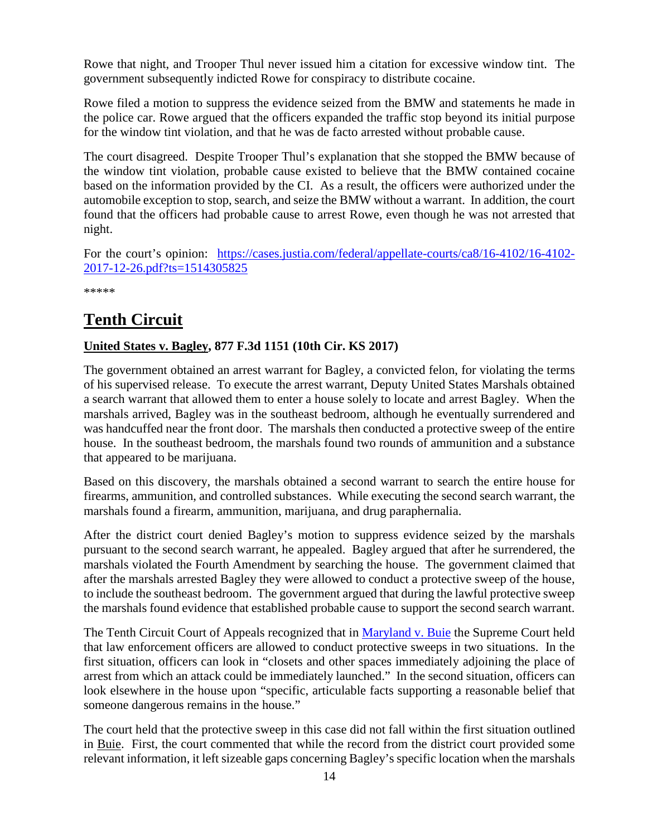Rowe that night, and Trooper Thul never issued him a citation for excessive window tint. The government subsequently indicted Rowe for conspiracy to distribute cocaine.

Rowe filed a motion to suppress the evidence seized from the BMW and statements he made in the police car. Rowe argued that the officers expanded the traffic stop beyond its initial purpose for the window tint violation, and that he was de facto arrested without probable cause.

The court disagreed. Despite Trooper Thul's explanation that she stopped the BMW because of the window tint violation, probable cause existed to believe that the BMW contained cocaine based on the information provided by the CI. As a result, the officers were authorized under the automobile exception to stop, search, and seize the BMW without a warrant. In addition, the court found that the officers had probable cause to arrest Rowe, even though he was not arrested that night.

For the court's opinion: [https://cases.justia.com/federal/appellate-courts/ca8/16-4102/16-4102-](https://cases.justia.com/federal/appellate-courts/ca8/16-4102/16-4102-2017-12-26.pdf?ts=1514305825) [2017-12-26.pdf?ts=1514305825](https://cases.justia.com/federal/appellate-courts/ca8/16-4102/16-4102-2017-12-26.pdf?ts=1514305825)

\*\*\*\*\*

# <span id="page-13-0"></span>**Tenth Circuit**

#### <span id="page-13-1"></span>**United States v. Bagley, 877 F.3d 1151 (10th Cir. KS 2017)**

The government obtained an arrest warrant for Bagley, a convicted felon, for violating the terms of his supervised release. To execute the arrest warrant, Deputy United States Marshals obtained a search warrant that allowed them to enter a house solely to locate and arrest Bagley. When the marshals arrived, Bagley was in the southeast bedroom, although he eventually surrendered and was handcuffed near the front door. The marshals then conducted a protective sweep of the entire house. In the southeast bedroom, the marshals found two rounds of ammunition and a substance that appeared to be marijuana.

Based on this discovery, the marshals obtained a second warrant to search the entire house for firearms, ammunition, and controlled substances. While executing the second search warrant, the marshals found a firearm, ammunition, marijuana, and drug paraphernalia.

After the district court denied Bagley's motion to suppress evidence seized by the marshals pursuant to the second search warrant, he appealed. Bagley argued that after he surrendered, the marshals violated the Fourth Amendment by searching the house. The government claimed that after the marshals arrested Bagley they were allowed to conduct a protective sweep of the house, to include the southeast bedroom. The government argued that during the lawful protective sweep the marshals found evidence that established probable cause to support the second search warrant.

The Tenth Circuit Court of Appeals recognized that in [Maryland v. Buie](https://supreme.justia.com/cases/federal/us/494/325/case.html) the Supreme Court held that law enforcement officers are allowed to conduct protective sweeps in two situations. In the first situation, officers can look in "closets and other spaces immediately adjoining the place of arrest from which an attack could be immediately launched." In the second situation, officers can look elsewhere in the house upon "specific, articulable facts supporting a reasonable belief that someone dangerous remains in the house."

The court held that the protective sweep in this case did not fall within the first situation outlined in Buie. First, the court commented that while the record from the district court provided some relevant information, it left sizeable gaps concerning Bagley's specific location when the marshals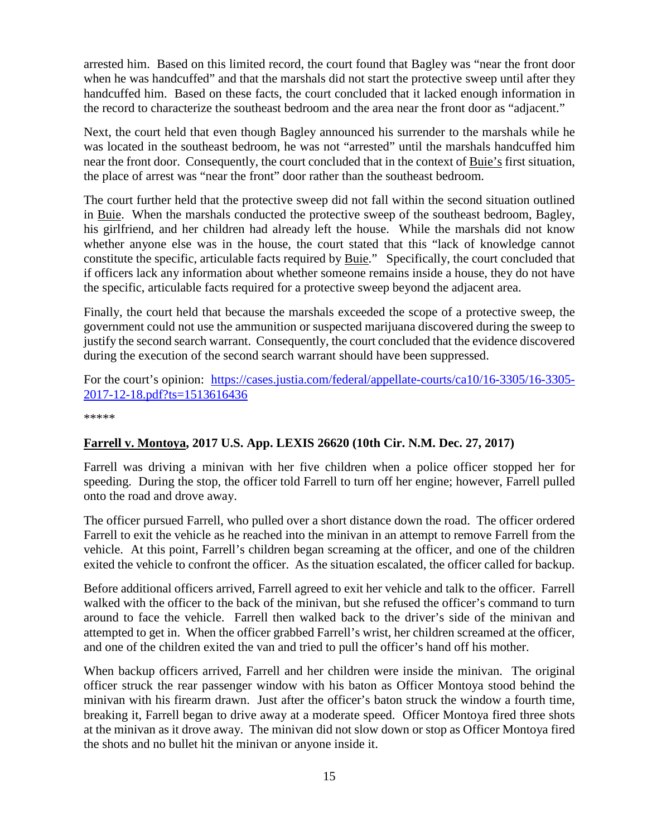arrested him. Based on this limited record, the court found that Bagley was "near the front door when he was handcuffed" and that the marshals did not start the protective sweep until after they handcuffed him. Based on these facts, the court concluded that it lacked enough information in the record to characterize the southeast bedroom and the area near the front door as "adjacent."

Next, the court held that even though Bagley announced his surrender to the marshals while he was located in the southeast bedroom, he was not "arrested" until the marshals handcuffed him near the front door. Consequently, the court concluded that in the context of Buie's first situation, the place of arrest was "near the front" door rather than the southeast bedroom.

The court further held that the protective sweep did not fall within the second situation outlined in Buie. When the marshals conducted the protective sweep of the southeast bedroom, Bagley, his girlfriend, and her children had already left the house. While the marshals did not know whether anyone else was in the house, the court stated that this "lack of knowledge cannot constitute the specific, articulable facts required by Buie." Specifically, the court concluded that if officers lack any information about whether someone remains inside a house, they do not have the specific, articulable facts required for a protective sweep beyond the adjacent area.

Finally, the court held that because the marshals exceeded the scope of a protective sweep, the government could not use the ammunition or suspected marijuana discovered during the sweep to justify the second search warrant. Consequently, the court concluded that the evidence discovered during the execution of the second search warrant should have been suppressed.

For the court's opinion: [https://cases.justia.com/federal/appellate-courts/ca10/16-3305/16-3305-](https://cases.justia.com/federal/appellate-courts/ca10/16-3305/16-3305-2017-12-18.pdf?ts=1513616436) [2017-12-18.pdf?ts=1513616436](https://cases.justia.com/federal/appellate-courts/ca10/16-3305/16-3305-2017-12-18.pdf?ts=1513616436)

\*\*\*\*\*

#### <span id="page-14-0"></span>**Farrell v. Montoya, 2017 U.S. App. LEXIS 26620 (10th Cir. N.M. Dec. 27, 2017)**

Farrell was driving a minivan with her five children when a police officer stopped her for speeding. During the stop, the officer told Farrell to turn off her engine; however, Farrell pulled onto the road and drove away.

The officer pursued Farrell, who pulled over a short distance down the road. The officer ordered Farrell to exit the vehicle as he reached into the minivan in an attempt to remove Farrell from the vehicle. At this point, Farrell's children began screaming at the officer, and one of the children exited the vehicle to confront the officer. As the situation escalated, the officer called for backup.

Before additional officers arrived, Farrell agreed to exit her vehicle and talk to the officer. Farrell walked with the officer to the back of the minivan, but she refused the officer's command to turn around to face the vehicle. Farrell then walked back to the driver's side of the minivan and attempted to get in. When the officer grabbed Farrell's wrist, her children screamed at the officer, and one of the children exited the van and tried to pull the officer's hand off his mother.

When backup officers arrived, Farrell and her children were inside the minivan. The original officer struck the rear passenger window with his baton as Officer Montoya stood behind the minivan with his firearm drawn. Just after the officer's baton struck the window a fourth time, breaking it, Farrell began to drive away at a moderate speed. Officer Montoya fired three shots at the minivan as it drove away. The minivan did not slow down or stop as Officer Montoya fired the shots and no bullet hit the minivan or anyone inside it.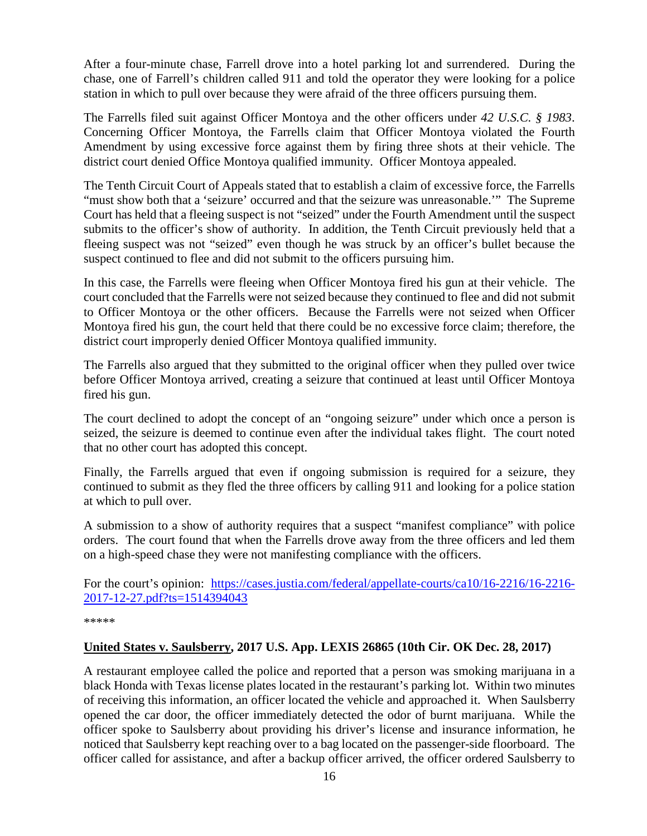After a four-minute chase, Farrell drove into a hotel parking lot and surrendered. During the chase, one of Farrell's children called 911 and told the operator they were looking for a police station in which to pull over because they were afraid of the three officers pursuing them.

The Farrells filed suit against Officer Montoya and the other officers under *42 U.S.C. § 1983*. Concerning Officer Montoya, the Farrells claim that Officer Montoya violated the Fourth Amendment by using excessive force against them by firing three shots at their vehicle. The district court denied Office Montoya qualified immunity. Officer Montoya appealed.

The Tenth Circuit Court of Appeals stated that to establish a claim of excessive force, the Farrells "must show both that a 'seizure' occurred and that the seizure was unreasonable.'" The Supreme Court has held that a fleeing suspect is not "seized" under the Fourth Amendment until the suspect submits to the officer's show of authority. In addition, the Tenth Circuit previously held that a fleeing suspect was not "seized" even though he was struck by an officer's bullet because the suspect continued to flee and did not submit to the officers pursuing him.

In this case, the Farrells were fleeing when Officer Montoya fired his gun at their vehicle. The court concluded that the Farrells were not seized because they continued to flee and did not submit to Officer Montoya or the other officers. Because the Farrells were not seized when Officer Montoya fired his gun, the court held that there could be no excessive force claim; therefore, the district court improperly denied Officer Montoya qualified immunity.

The Farrells also argued that they submitted to the original officer when they pulled over twice before Officer Montoya arrived, creating a seizure that continued at least until Officer Montoya fired his gun.

The court declined to adopt the concept of an "ongoing seizure" under which once a person is seized, the seizure is deemed to continue even after the individual takes flight. The court noted that no other court has adopted this concept.

Finally, the Farrells argued that even if ongoing submission is required for a seizure, they continued to submit as they fled the three officers by calling 911 and looking for a police station at which to pull over.

A submission to a show of authority requires that a suspect "manifest compliance" with police orders. The court found that when the Farrells drove away from the three officers and led them on a high-speed chase they were not manifesting compliance with the officers.

For the court's opinion: [https://cases.justia.com/federal/appellate-courts/ca10/16-2216/16-2216-](https://cases.justia.com/federal/appellate-courts/ca10/16-2216/16-2216-2017-12-27.pdf?ts=1514394043) [2017-12-27.pdf?ts=1514394043](https://cases.justia.com/federal/appellate-courts/ca10/16-2216/16-2216-2017-12-27.pdf?ts=1514394043)

\*\*\*\*\*

#### <span id="page-15-0"></span>**United States v. Saulsberry, 2017 U.S. App. LEXIS 26865 (10th Cir. OK Dec. 28, 2017)**

A restaurant employee called the police and reported that a person was smoking marijuana in a black Honda with Texas license plates located in the restaurant's parking lot. Within two minutes of receiving this information, an officer located the vehicle and approached it. When Saulsberry opened the car door, the officer immediately detected the odor of burnt marijuana. While the officer spoke to Saulsberry about providing his driver's license and insurance information, he noticed that Saulsberry kept reaching over to a bag located on the passenger-side floorboard. The officer called for assistance, and after a backup officer arrived, the officer ordered Saulsberry to